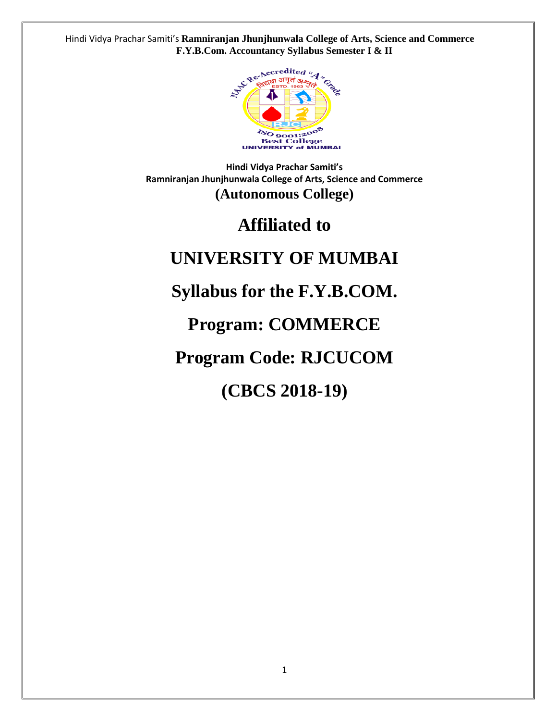

**Hindi Vidya Prachar Samiti's Ramniranjan Jhunjhunwala College of Arts, Science and Commerce (Autonomous College)**

# **Affiliated to**

# **UNIVERSITY OF MUMBAI**

# **Syllabus for the F.Y.B.COM.**

# **Program: COMMERCE**

# **Program Code: RJCUCOM**

# **(CBCS 2018-19)**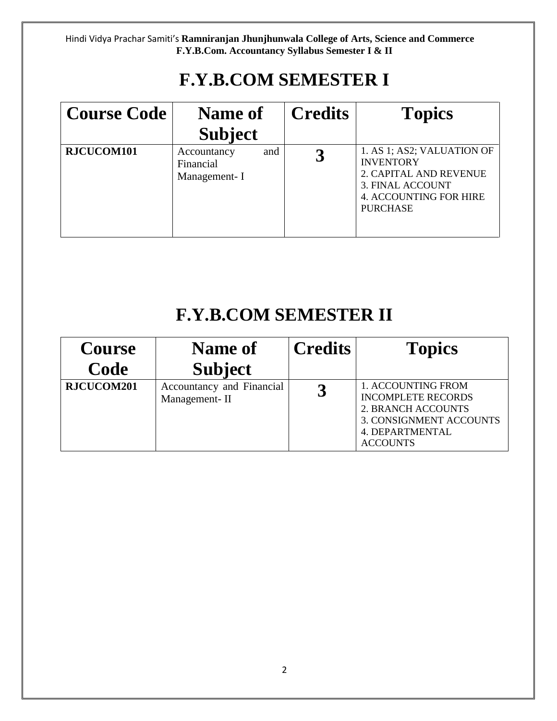# **F.Y.B.COM SEMESTER I**

| <b>Course Code</b> | <b>Name of</b>                                  | <b>Credits</b> | <b>Topics</b>                                                                                                                                    |
|--------------------|-------------------------------------------------|----------------|--------------------------------------------------------------------------------------------------------------------------------------------------|
|                    | <b>Subject</b>                                  |                |                                                                                                                                                  |
| RJCUCOM101         | Accountancy<br>and<br>Financial<br>Management-I |                | 1. AS 1; AS2; VALUATION OF<br><b>INVENTORY</b><br>2. CAPITAL AND REVENUE<br>3. FINAL ACCOUNT<br><b>4. ACCOUNTING FOR HIRE</b><br><b>PURCHASE</b> |

# **F.Y.B.COM SEMESTER II**

| <b>Course</b><br>Code | Name of                                                      | <b>Credits</b> | <b>Topics</b>                                                                                                                                 |
|-----------------------|--------------------------------------------------------------|----------------|-----------------------------------------------------------------------------------------------------------------------------------------------|
| RJCUCOM201            | <b>Subject</b><br>Accountancy and Financial<br>Management-II |                | 1. ACCOUNTING FROM<br><b>INCOMPLETE RECORDS</b><br><b>2. BRANCH ACCOUNTS</b><br>3. CONSIGNMENT ACCOUNTS<br>4. DEPARTMENTAL<br><b>ACCOUNTS</b> |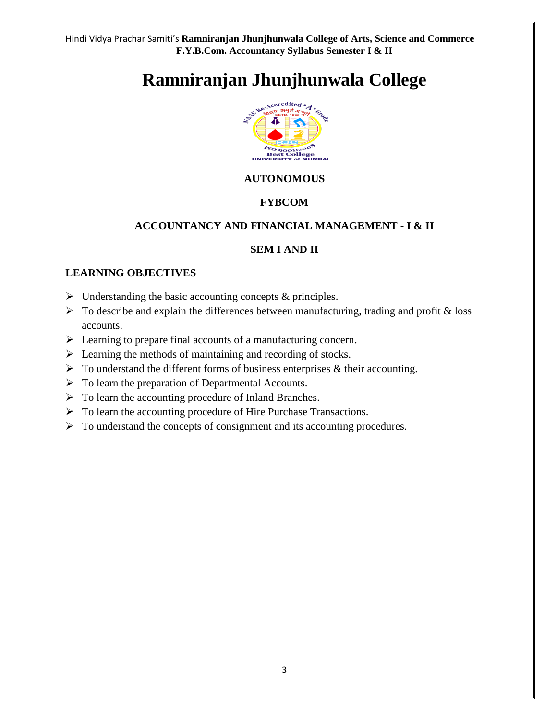# **Ramniranjan Jhunjhunwala College**



# **AUTONOMOUS**

# **FYBCOM**

# **ACCOUNTANCY AND FINANCIAL MANAGEMENT - I & II**

### **SEM I AND II**

### **LEARNING OBJECTIVES**

- $\triangleright$  Understanding the basic accounting concepts & principles.
- $\triangleright$  To describe and explain the differences between manufacturing, trading and profit & loss accounts.
- ➢ Learning to prepare final accounts of a manufacturing concern.
- $\triangleright$  Learning the methods of maintaining and recording of stocks.
- $\triangleright$  To understand the different forms of business enterprises & their accounting.
- $\triangleright$  To learn the preparation of Departmental Accounts.
- $\triangleright$  To learn the accounting procedure of Inland Branches.
- ➢ To learn the accounting procedure of Hire Purchase Transactions.
- ➢ To understand the concepts of consignment and its accounting procedures.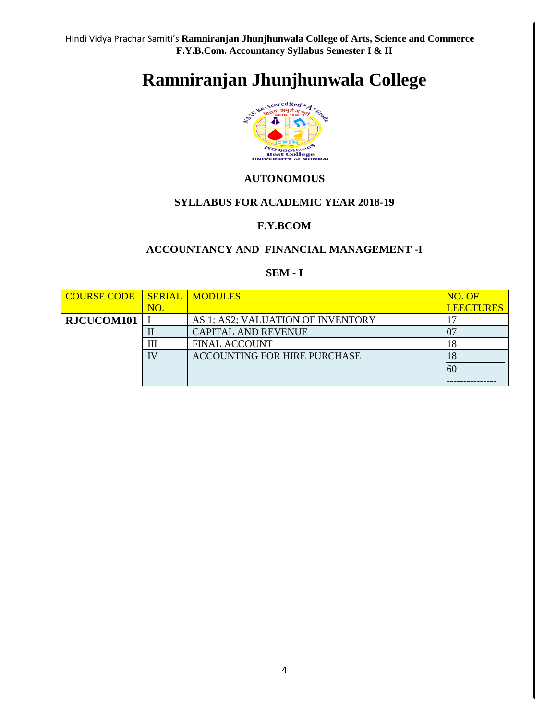# **Ramniranjan Jhunjhunwala College**



### **AUTONOMOUS**

### **SYLLABUS FOR ACADEMIC YEAR 2018-19**

### **F.Y.BCOM**

### **ACCOUNTANCY AND FINANCIAL MANAGEMENT -I**

### **SEM - I**

| <b>COURSE CODE</b> |     | <b>SERIAL MODULES</b>               | NO. OF           |
|--------------------|-----|-------------------------------------|------------------|
|                    | NO. |                                     | <b>LEECTURES</b> |
| RJCUCOM101         |     | AS 1; AS2; VALUATION OF INVENTORY   |                  |
|                    |     | <b>CAPITAL AND REVENUE</b>          |                  |
|                    | Ш   | <b>FINAL ACCOUNT</b>                | 18               |
|                    |     | <b>ACCOUNTING FOR HIRE PURCHASE</b> | 18               |
|                    |     |                                     | 60               |
|                    |     |                                     |                  |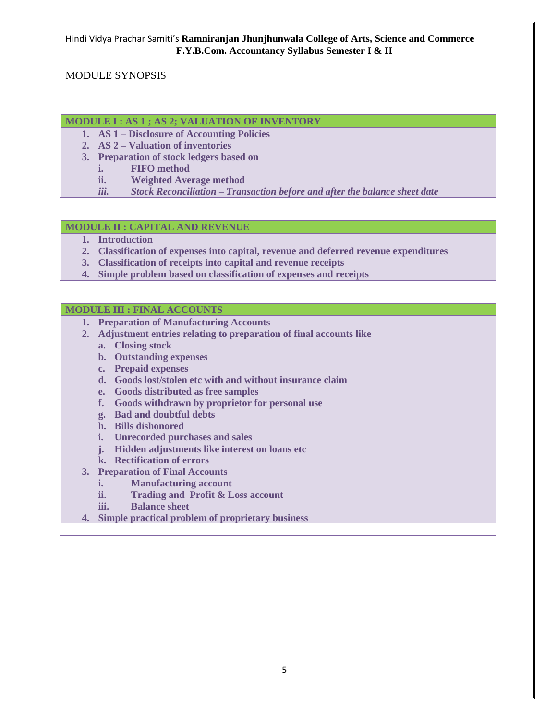### MODULE SYNOPSIS

#### **MODULE I : AS 1 ; AS 2; VALUATION OF INVENTORY**

- **1. AS 1 – Disclosure of Accounting Policies**
- **2. AS 2 – Valuation of inventories**
- **3. Preparation of stock ledgers based on** 
	- **i. FIFO method**
	- **ii. Weighted Average method**
	- *iii. Stock Reconciliation – Transaction before and after the balance sheet date*

#### **MODULE II : CAPITAL AND REVENUE**

- **1. Introduction**
- **2. Classification of expenses into capital, revenue and deferred revenue expenditures**
- **3. Classification of receipts into capital and revenue receipts**
- **4. Simple problem based on classification of expenses and receipts**

#### **MODULE III : FINAL ACCOUNTS**

- **1. Preparation of Manufacturing Accounts**
- **2. Adjustment entries relating to preparation of final accounts like**
	- **a. Closing stock**
	- **b. Outstanding expenses**
	- **c. Prepaid expenses**
	- **d. Goods lost/stolen etc with and without insurance claim**
	- **e. Goods distributed as free samples**
	- **f. Goods withdrawn by proprietor for personal use**
	- **g. Bad and doubtful debts**
	- **h. Bills dishonored**
	- **i. Unrecorded purchases and sales**
	- **j. Hidden adjustments like interest on loans etc**
	- **k. Rectification of errors**
- **3. Preparation of Final Accounts**
	- **i. Manufacturing account**
	- **ii. Trading and Profit & Loss account**
	- **iii. Balance sheet**
- **4. Simple practical problem of proprietary business**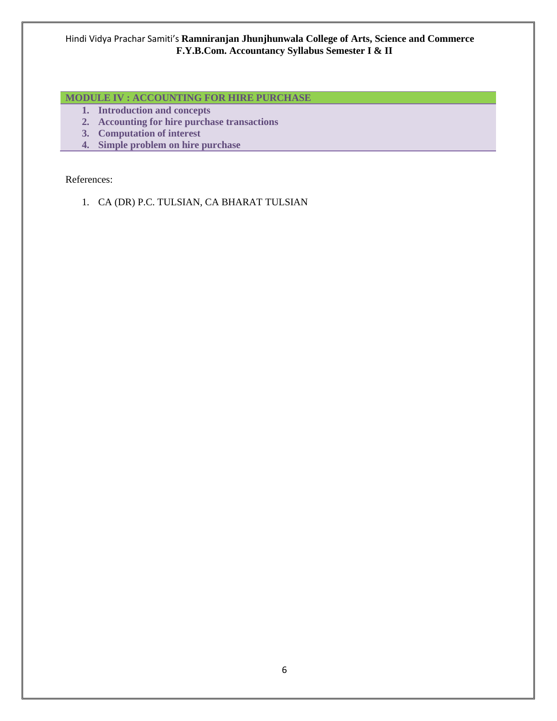# **MODULE IV : ACCOUNTING FOR HIRE PURCHASE**

- **1. Introduction and concepts**
- **2. Accounting for hire purchase transactions**
- **3. Computation of interest**
- **4. Simple problem on hire purchase**

#### References:

1. CA (DR) P.C. TULSIAN, CA BHARAT TULSIAN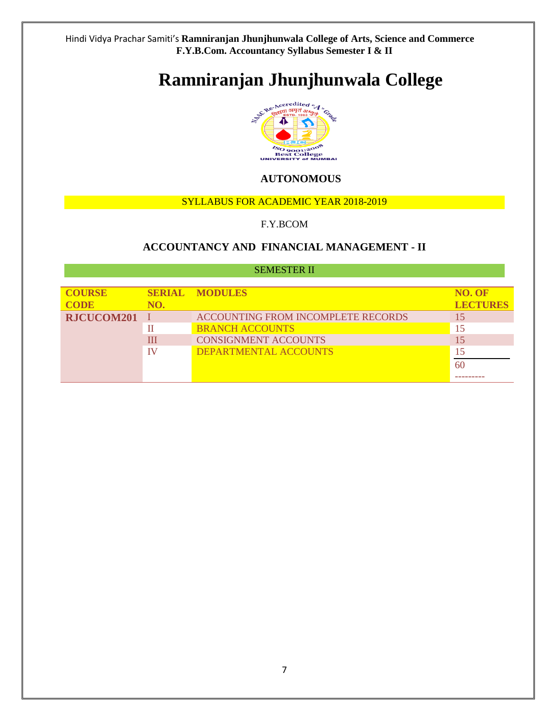# **Ramniranjan Jhunjhunwala College**



# **AUTONOMOUS**

#### SYLLABUS FOR ACADEMIC YEAR 2018-2019

#### F.Y.BCOM

### **ACCOUNTANCY AND FINANCIAL MANAGEMENT - II**

#### SEMESTER II

| <b>COURSE</b><br><b>CODE</b> | NO. | <b>SERIAL MODULES</b>                     | NO. OF<br><b>LECTURES</b> |
|------------------------------|-----|-------------------------------------------|---------------------------|
| RJCUCOM201                   |     | <b>ACCOUNTING FROM INCOMPLETE RECORDS</b> |                           |
|                              | П   | <b>BRANCH ACCOUNTS</b>                    | 15                        |
|                              | Ш   | <b>CONSIGNMENT ACCOUNTS</b>               | 15                        |
|                              | TV  | DEPARTMENTAL ACCOUNTS                     | 15                        |
|                              |     |                                           | 60                        |
|                              |     |                                           |                           |